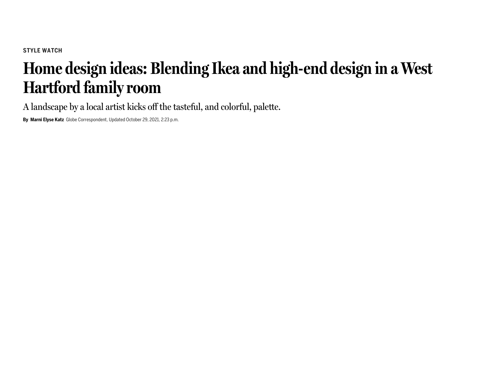## **Home design ideas: Blending Ikea and high-end design in a West Hartford familyroom**

A landscape by a local artist kicks off the tasteful, and colorful, palette.

**By Marni Elyse Katz** Globe Correspondent, Updated October 29, 2021, 2:23 p.m.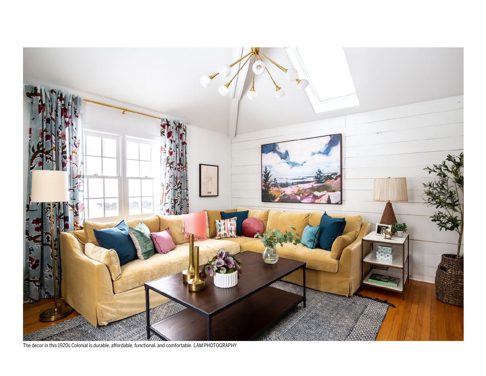

The decor in this 1920s Colonial is durable, affordable, functional, and comfortable. LAM PHOTOGRAPHY